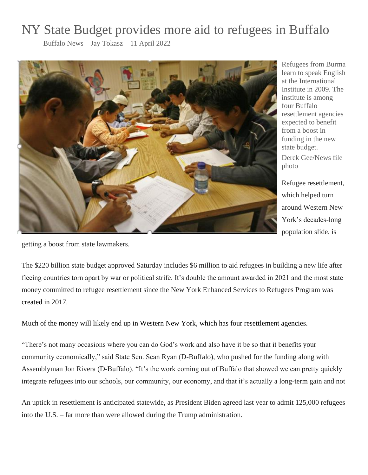## NY State Budget provides more aid to refugees in Buffalo

Buffalo News – Jay Tokasz – 11 April 2022



Refugees from Burma learn to speak English at the International Institute in 2009. The institute is among four Buffalo resettlement agencies expected to benefit from a boost in funding in the new state budget.

Derek Gee/News file photo

Refugee resettlement, which helped turn around Western New York's decades-long population slide, is

getting a boost from state lawmakers.

The \$220 billion state budget approved Saturday includes \$6 million to aid refugees in building a new life after fleeing countries torn apart by war or political strife. It's double the amount awarded in 2021 and the most state money committed to refugee resettlement since the New York Enhanced Services to Refugees Program was created in 2017.

Much of the money will likely end up in Western New York, which has four resettlement agencies.

"There's not many occasions where you can do God's work and also have it be so that it benefits your community economically," said State Sen. Sean Ryan (D-Buffalo), who pushed for the funding along with Assemblyman Jon Rivera (D-Buffalo). "It's the work coming out of Buffalo that showed we can pretty quickly integrate refugees into our schools, our community, our economy, and that it's actually a long-term gain and not

An uptick in resettlement is anticipated statewide, as President Biden agreed last year to admit 125,000 refugees into the U.S. – far more than were allowed during the Trump administration.